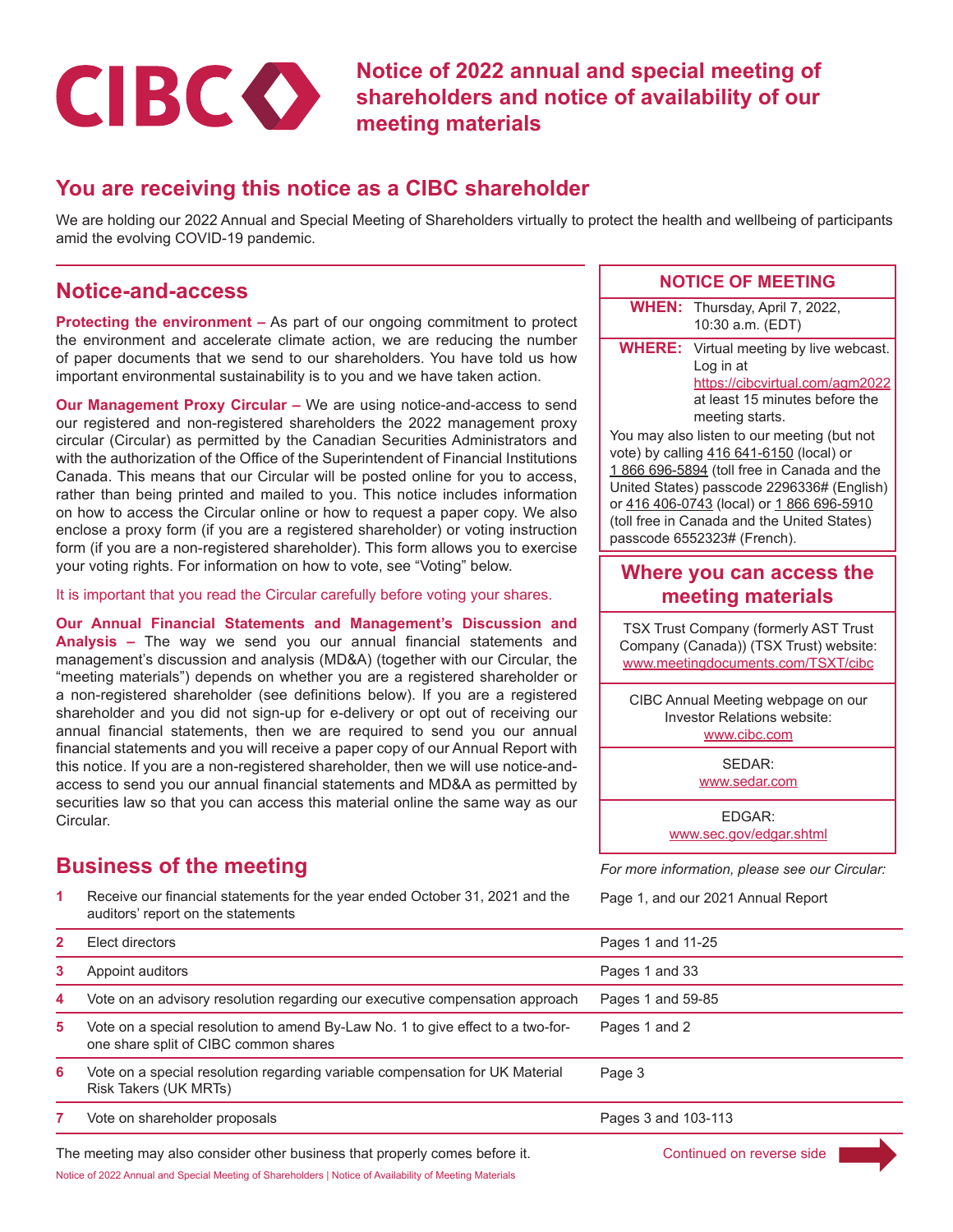

**Notice of 2022 annual and special meeting of shareholders and notice of availability of our meeting materials**

### **You are receiving this notice as a CIBC shareholder**

We are holding our 2022 Annual and Special Meeting of Shareholders virtually to protect the health and wellbeing of participants amid the evolving COVID-19 pandemic.

### **Notice-and-access**

**Protecting the environment –** As part of our ongoing commitment to protect the environment and accelerate climate action, we are reducing the number of paper documents that we send to our shareholders. You have told us how important environmental sustainability is to you and we have taken action.

**Our Management Proxy Circular –** We are using notice-and-access to send our registered and non-registered shareholders the 2022 management proxy circular (Circular) as permitted by the Canadian Securities Administrators and with the authorization of the Office of the Superintendent of Financial Institutions Canada. This means that our Circular will be posted online for you to access, rather than being printed and mailed to you. This notice includes information on how to access the Circular online or how to request a paper copy. We also enclose a proxy form (if you are a registered shareholder) or voting instruction form (if you are a non-registered shareholder). This form allows you to exercise your voting rights. For information on how to vote, see "Voting" below.

It is important that you read the Circular carefully before voting your shares.

**Our Annual Financial Statements and Management's Discussion and Analysis –** The way we send you our annual financial statements and management's discussion and analysis (MD&A) (together with our Circular, the "meeting materials") depends on whether you are a registered shareholder or a non-registered shareholder (see definitions below). If you are a registered shareholder and you did not sign-up for e-delivery or opt out of receiving our annual financial statements, then we are required to send you our annual financial statements and you will receive a paper copy of our Annual Report with this notice. If you are a non-registered shareholder, then we will use notice-andaccess to send you our annual financial statements and MD&A as permitted by securities law so that you can access this material online the same way as our Circular.

## **Business of the meeting** *For more information, please see our Circular:*

**1** Receive our financial statements for the year ended October 31, 2021 and the auditors' report on the statements

#### **NOTICE OF MEETING**

**WHEN:** Thursday, April 7, 2022, 10:30 a.m. (EDT)

**WHERE:** Virtual meeting by live webcast. Log in at <https://cibcvirtual.com/agm2022> at least 15 minutes before the meeting starts.

You may also listen to our meeting (but not vote) by calling [416 641-6150](tel:4166416150) (local) or [1 866 696-5894](tel:18666965894) (toll free in Canada and the United States) passcode 2296336# (English) or [416 406-0743](tel:4164060743) (local) or [1 866 696-5910](tel:18666965910) (toll free in Canada and the United States) passcode 6552323# (French).

### **Where you can access the meeting materials**

TSX Trust Company (formerly AST Trust Company (Canada)) (TSX Trust) website: [www.meetingdocuments.com/TSXT/cibc](http://www.meetingdocuments.com/TSXT/cibc)

CIBC Annual Meeting webpage on our Investor Relations website: [www.cibc.com](http://www.cibc.com)

SEDAR:

[www.sedar.com](http://www.sedar.com)

EDGAR: [www.sec.gov/edgar.shtml](http://www.sec.gov/edgar.shtml)

Page 1, and our 2021 Annual Report

| $\mathbf{2}$                                                                                             | Elect directors                                                                                                          | Pages 1 and 11-25   |  |  |
|----------------------------------------------------------------------------------------------------------|--------------------------------------------------------------------------------------------------------------------------|---------------------|--|--|
| 3.                                                                                                       | Appoint auditors                                                                                                         | Pages 1 and 33      |  |  |
| 4                                                                                                        | Vote on an advisory resolution regarding our executive compensation approach                                             | Pages 1 and 59-85   |  |  |
| 5.                                                                                                       | Vote on a special resolution to amend By-Law No. 1 to give effect to a two-for-<br>one share split of CIBC common shares | Pages 1 and 2       |  |  |
| 6                                                                                                        | Vote on a special resolution regarding variable compensation for UK Material<br>Risk Takers (UK MRTs)                    | Page 3              |  |  |
|                                                                                                          | Vote on shareholder proposals                                                                                            | Pages 3 and 103-113 |  |  |
| The meeting may also consider other business that properly comes before it.<br>Continued on reverse side |                                                                                                                          |                     |  |  |

Notice of 2022 Annual and Special Meeting of Shareholders | Notice of Availability of Meeting Materials